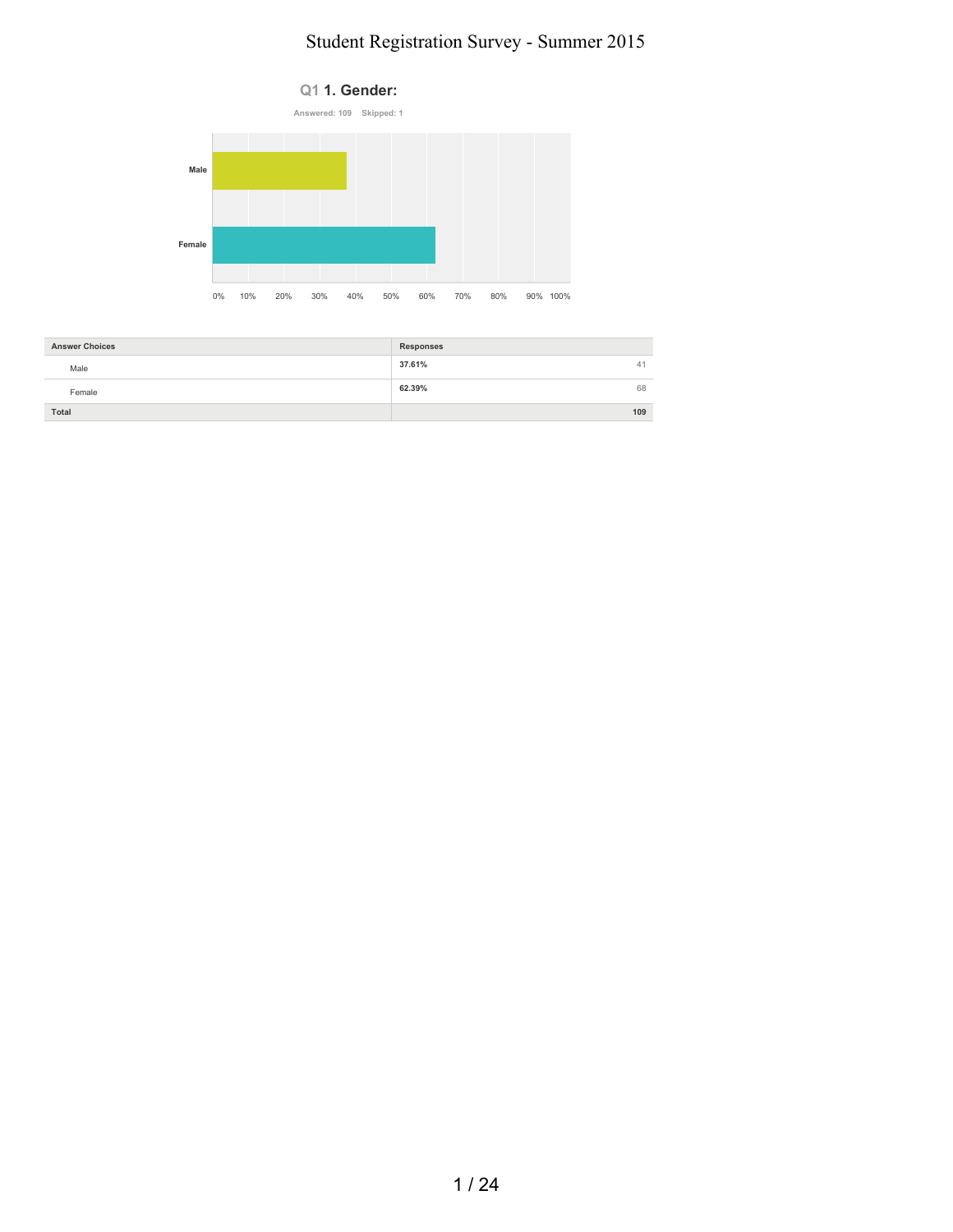

| <b>Answer Choices</b> | Responses    |
|-----------------------|--------------|
| Male                  | 37.61%<br>41 |
| Female                | 68<br>62.39% |
| Total                 | 109          |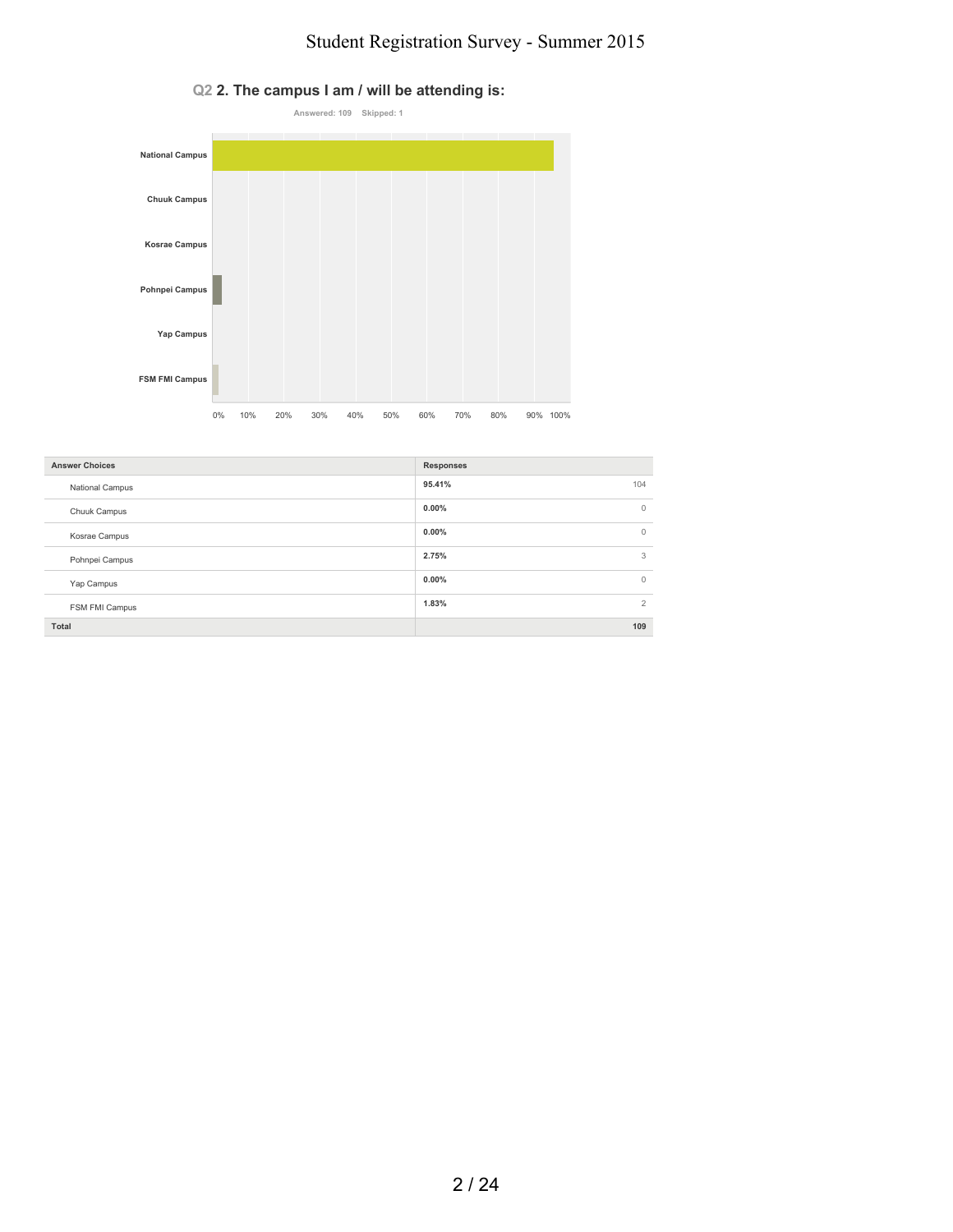

#### **Q2 2. The campus I am / will be attending is:**

| <b>Answer Choices</b>  | <b>Responses</b>         |
|------------------------|--------------------------|
| <b>National Campus</b> | 95.41%<br>104            |
| Chuuk Campus           | $0.00\%$<br>$\mathbf{0}$ |
| Kosrae Campus          | $0.00\%$<br>$\circ$      |
| Pohnpei Campus         | 2.75%<br>3               |
| Yap Campus             | $0.00\%$<br>$\mathbf{0}$ |
| FSM FMI Campus         | 1.83%<br>2               |
| Total                  | 109                      |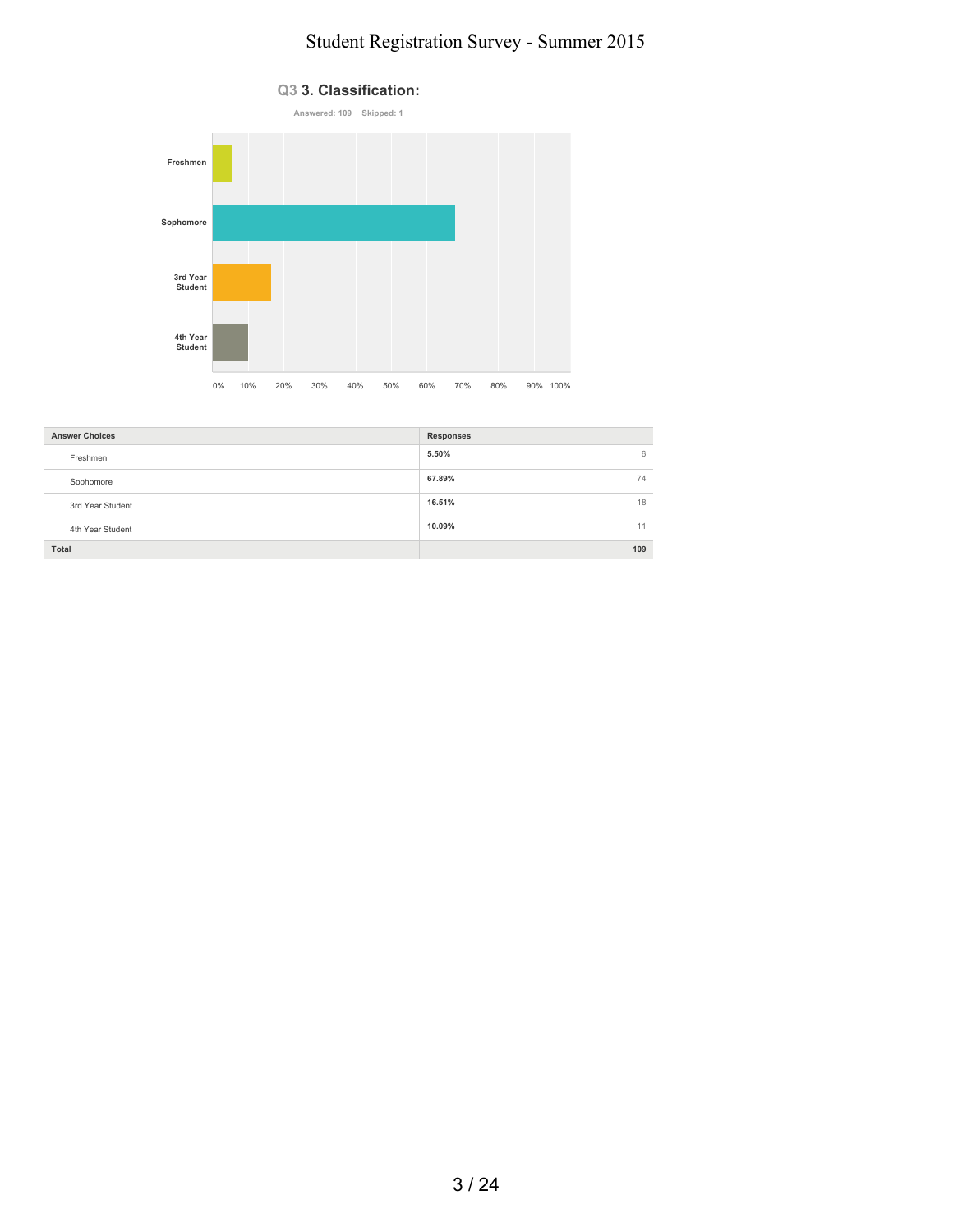

| <b>Answer Choices</b> | <b>Responses</b> |
|-----------------------|------------------|
| Freshmen              | 5.50%<br>6       |
| Sophomore             | 67.89%<br>74     |
| 3rd Year Student      | 16.51%<br>18     |
| 4th Year Student      | 10.09%<br>11     |
| Total                 | 109              |

#### **Q3 3. Classification:**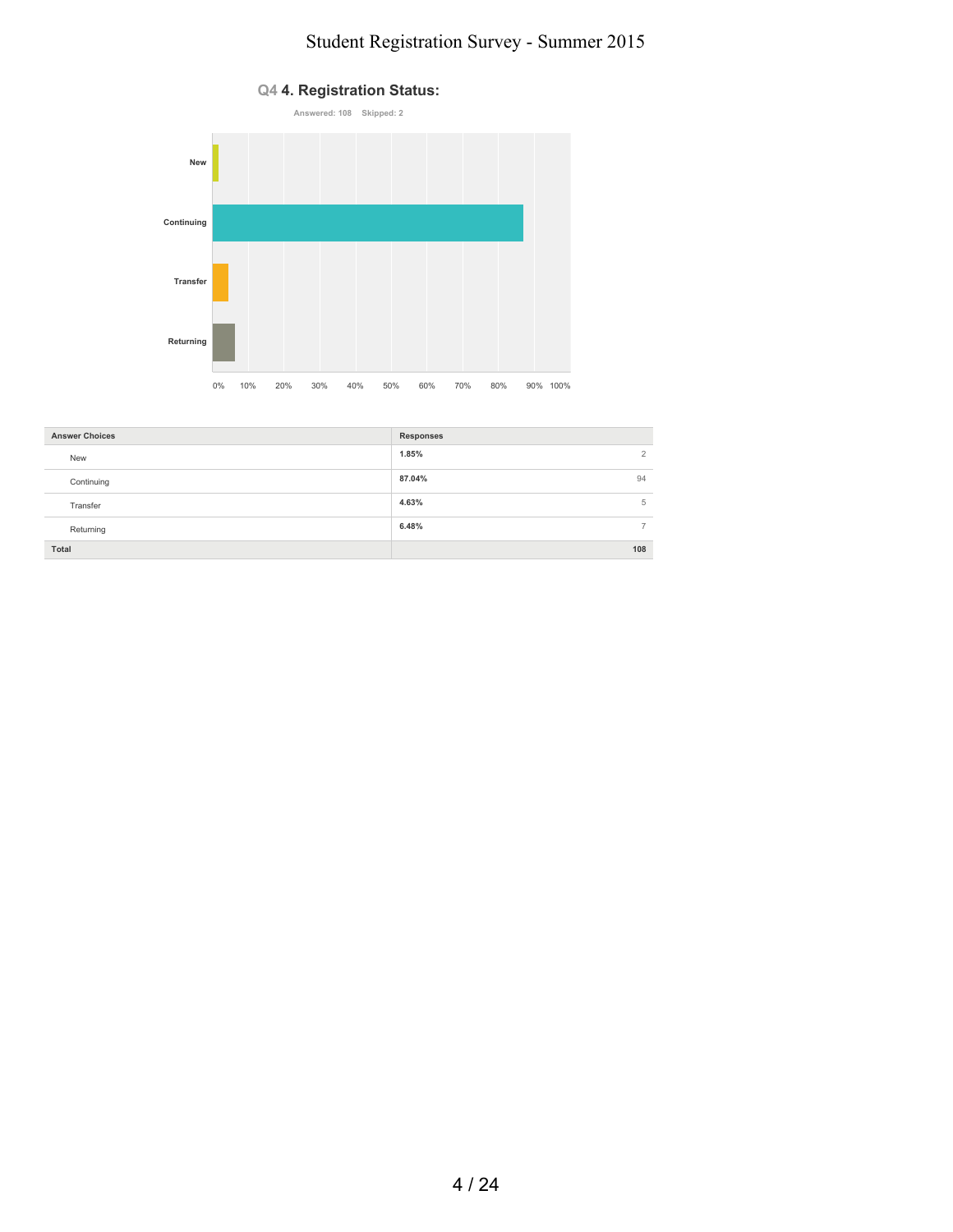

| <b>Answer Choices</b> | Responses              |
|-----------------------|------------------------|
| New                   | 1.85%<br>$\mathcal{L}$ |
| Continuing            | 87.04%<br>94           |
| Transfer              | 4.63%<br>5             |
| Returning             | 6.48%                  |
| Total                 | 108                    |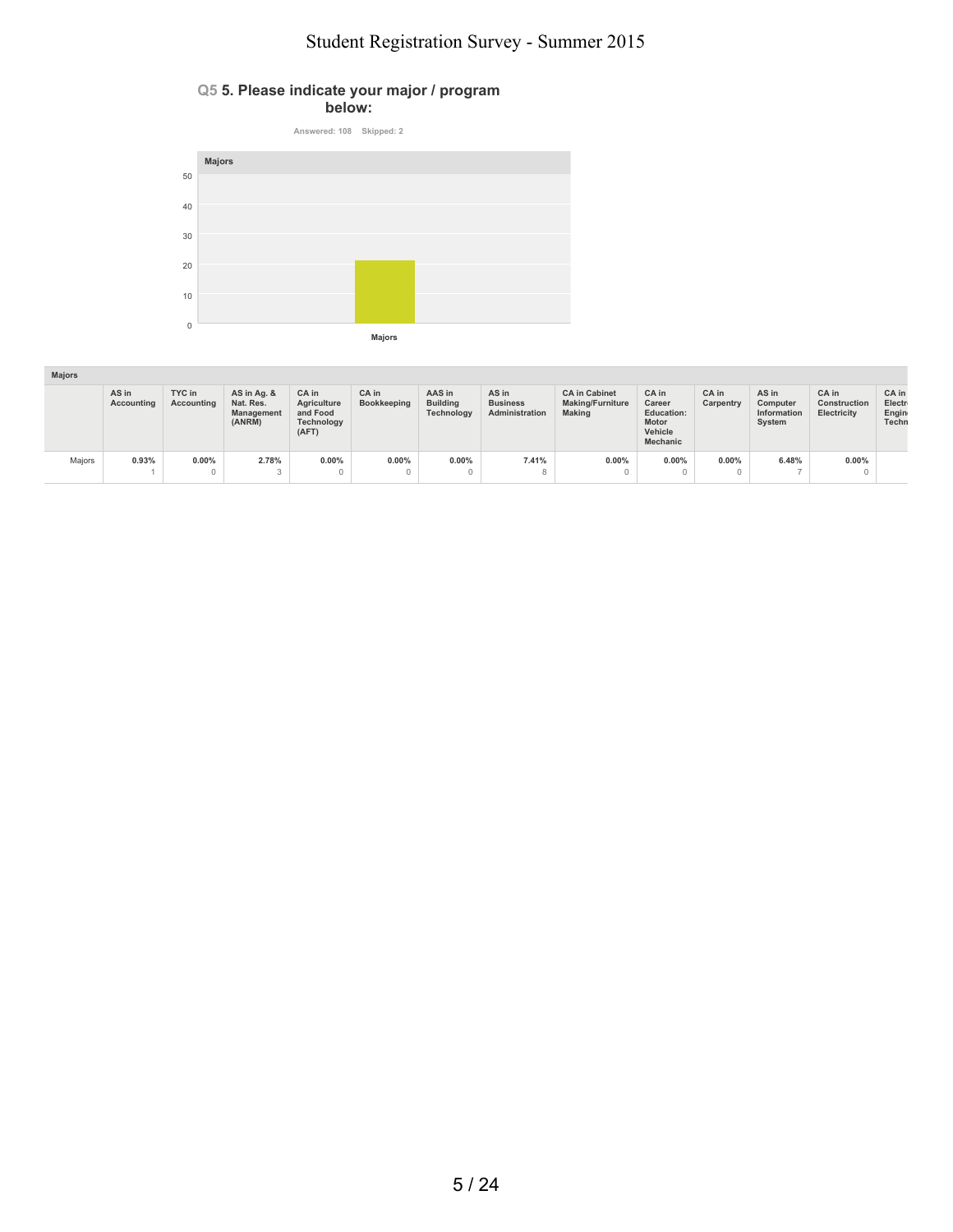#### **Q5 5. Please indicate your major / program below:**



| <b>Majors</b> |                     |                      |                                                         |                                                                |                      |                                         |                                            |                                                                  |                                                                                    |                          |                                            |                                      |                                   |
|---------------|---------------------|----------------------|---------------------------------------------------------|----------------------------------------------------------------|----------------------|-----------------------------------------|--------------------------------------------|------------------------------------------------------------------|------------------------------------------------------------------------------------|--------------------------|--------------------------------------------|--------------------------------------|-----------------------------------|
|               | AS in<br>Accounting | TYC in<br>Accounting | AS in Ag. &<br>Nat. Res.<br><b>Management</b><br>(ANRM) | CA in<br>Agriculture<br>and Food<br><b>Technology</b><br>(AFT) | CA in<br>Bookkeeping | AAS in<br><b>Building</b><br>Technology | AS in<br><b>Business</b><br>Administration | <b>CA</b> in Cabinet<br><b>Making/Furniture</b><br><b>Making</b> | CA in<br>Career<br><b>Education:</b><br><b>Motor</b><br>Vehicle<br><b>Mechanic</b> | CA in<br>Carpentry       | AS in<br>Computer<br>Information<br>System | CA in<br>Construction<br>Electricity | CA in<br>Electr<br>Engin<br>Techn |
| Majors        | 0.93%               | $0.00\%$<br>$\Omega$ | 2.78%<br>$\sim$                                         | $0.00\%$                                                       | $0.00\%$             | 0.00%                                   | 7.41%                                      | 0.00%                                                            | $0.00\%$                                                                           | $0.00\%$<br>$\mathbf{0}$ | 6.48%                                      | $0.00\%$                             |                                   |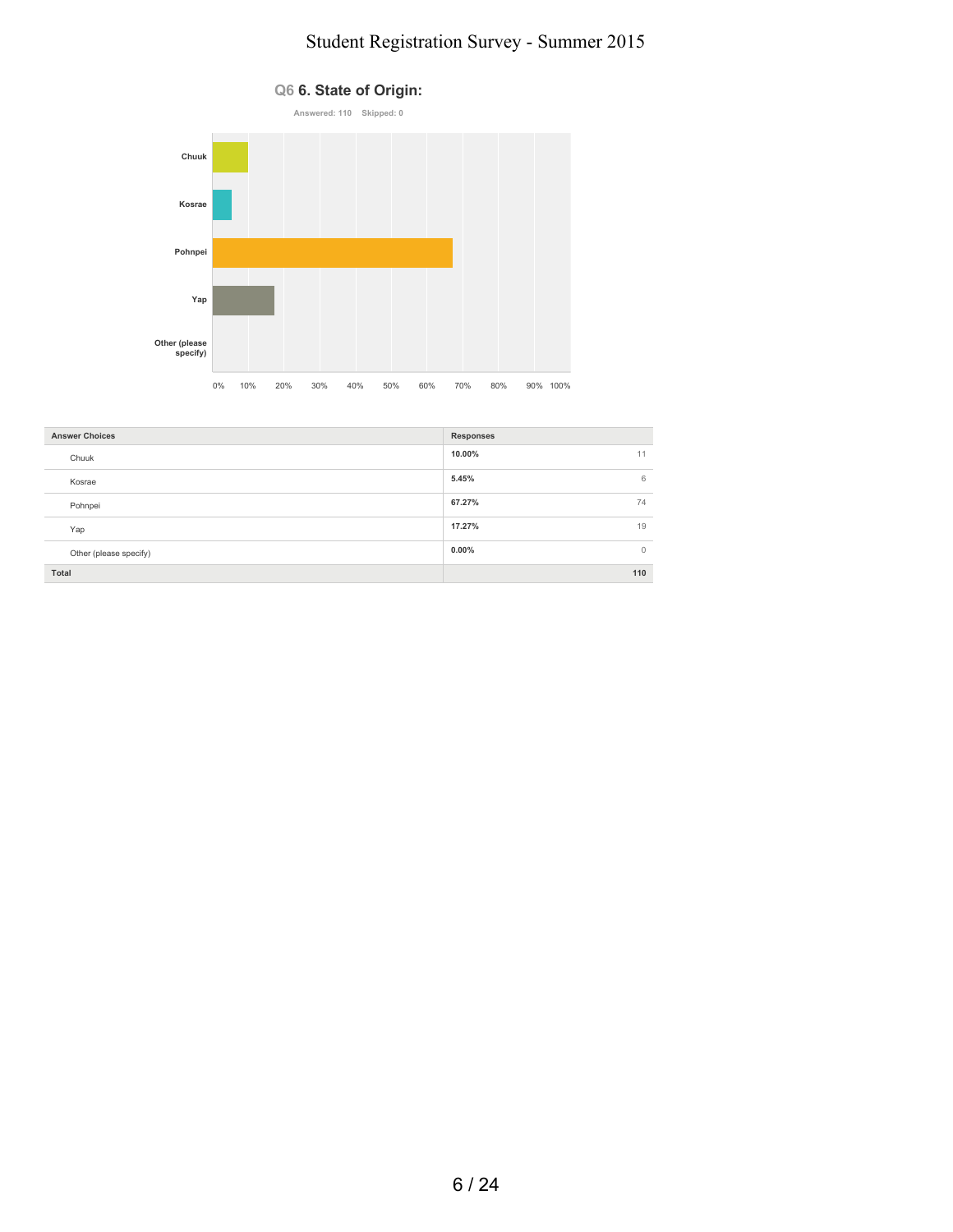

| <b>Answer Choices</b>  | <b>Responses</b>         |
|------------------------|--------------------------|
| Chuuk                  | 10.00%<br>11             |
| Kosrae                 | 5.45%<br>6               |
| Pohnpei                | 67.27%<br>74             |
| Yap                    | 17.27%<br>19             |
| Other (please specify) | $0.00\%$<br>$\mathbf{0}$ |
| Total                  | 110                      |

### **Q6 6. State of Origin:**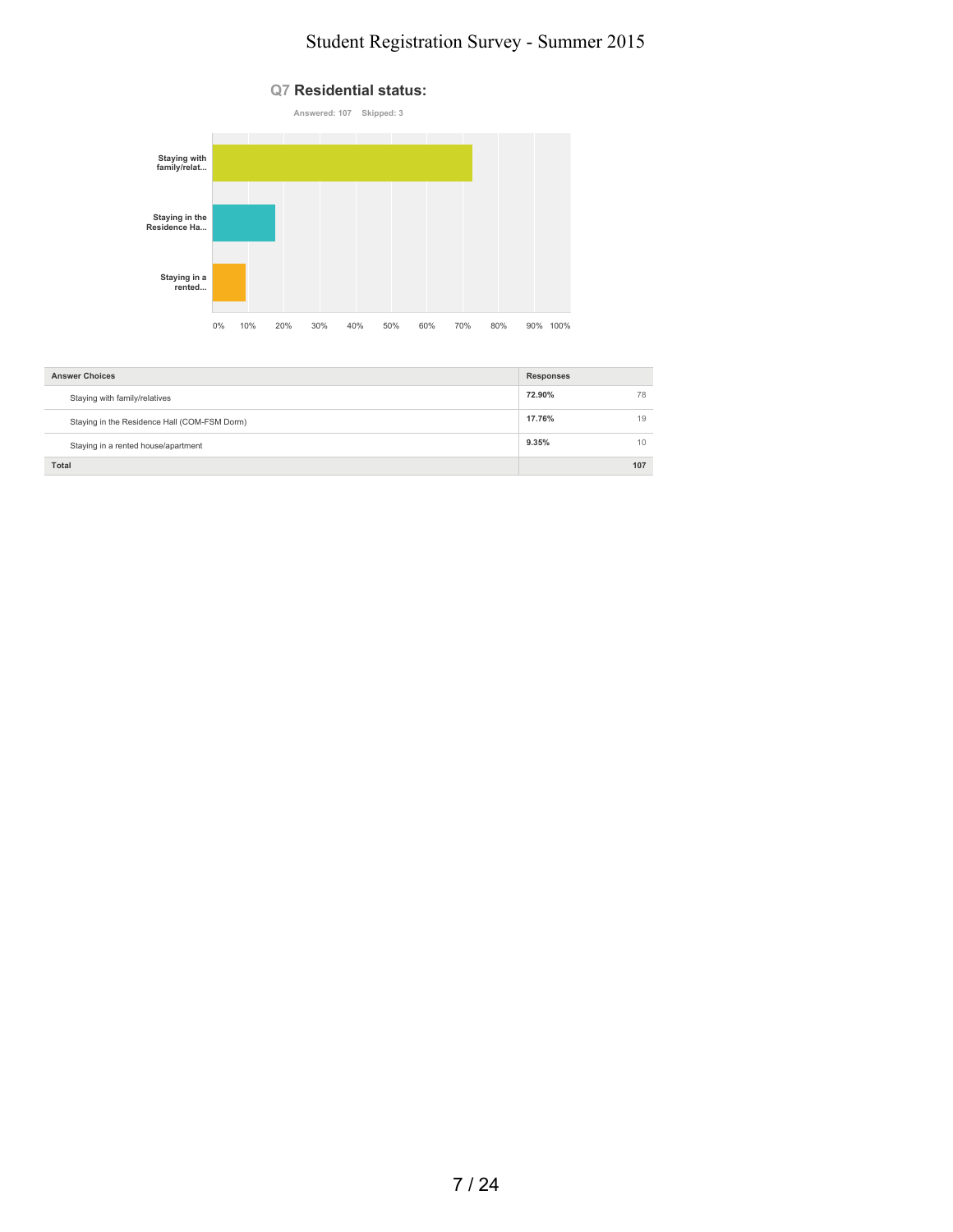

| <b>Answer Choices</b>                        | <b>Responses</b> |     |
|----------------------------------------------|------------------|-----|
| Staying with family/relatives                | 72.90%           | 78  |
| Staying in the Residence Hall (COM-FSM Dorm) | 17.76%           | 19  |
| Staying in a rented house/apartment          | 9.35%            | 10  |
| Total                                        |                  | 107 |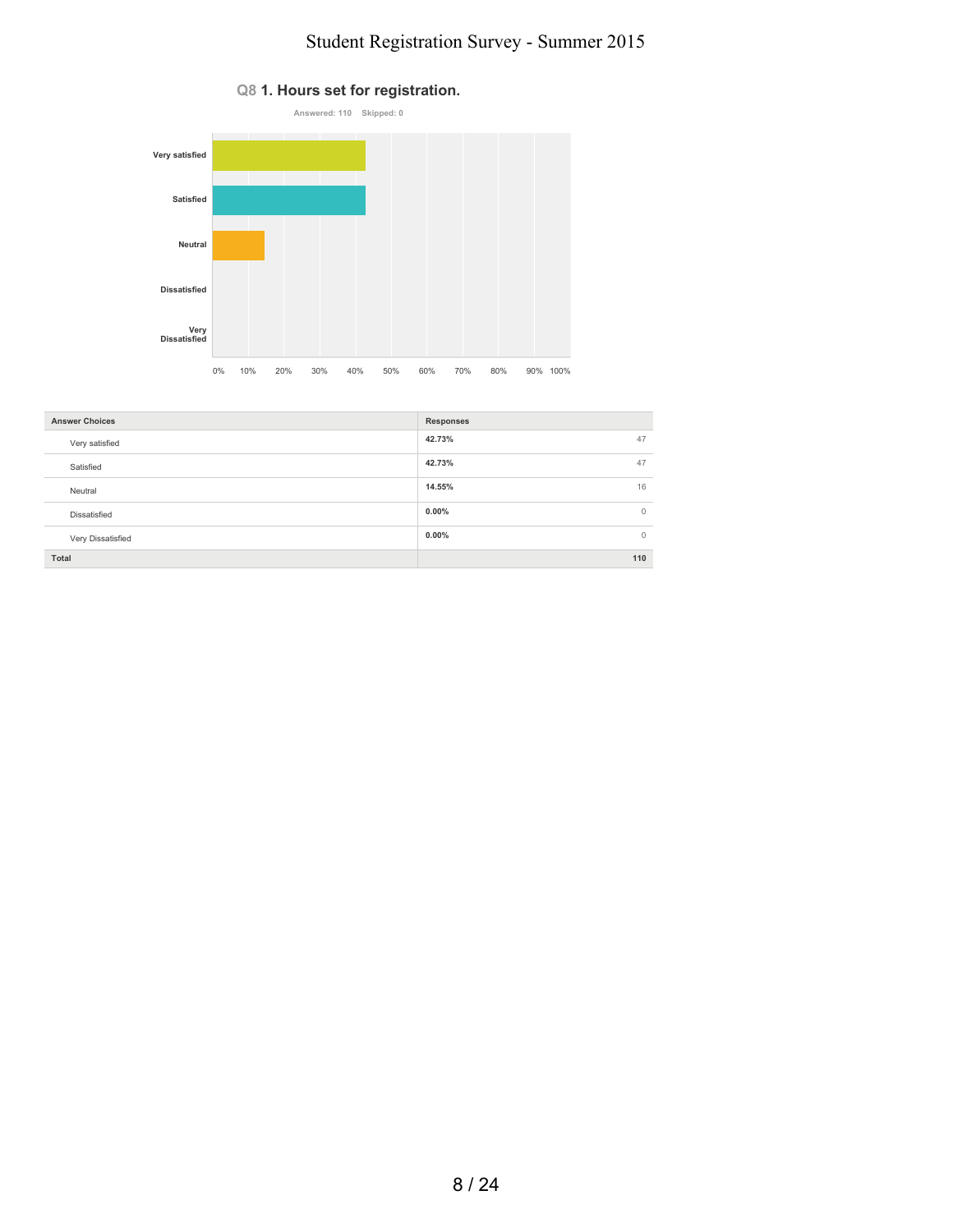

| <b>Answer Choices</b> | <b>Responses</b>         |
|-----------------------|--------------------------|
| Very satisfied        | 42.73%<br>47             |
| Satisfied             | 47<br>42.73%             |
| Neutral               | 16<br>14.55%             |
| Dissatisfied          | $0.00\%$<br>$\circ$      |
| Very Dissatisfied     | $0.00\%$<br>$\mathbf{0}$ |
| Total                 | 110                      |

#### **Q8 1. Hours set for registration.**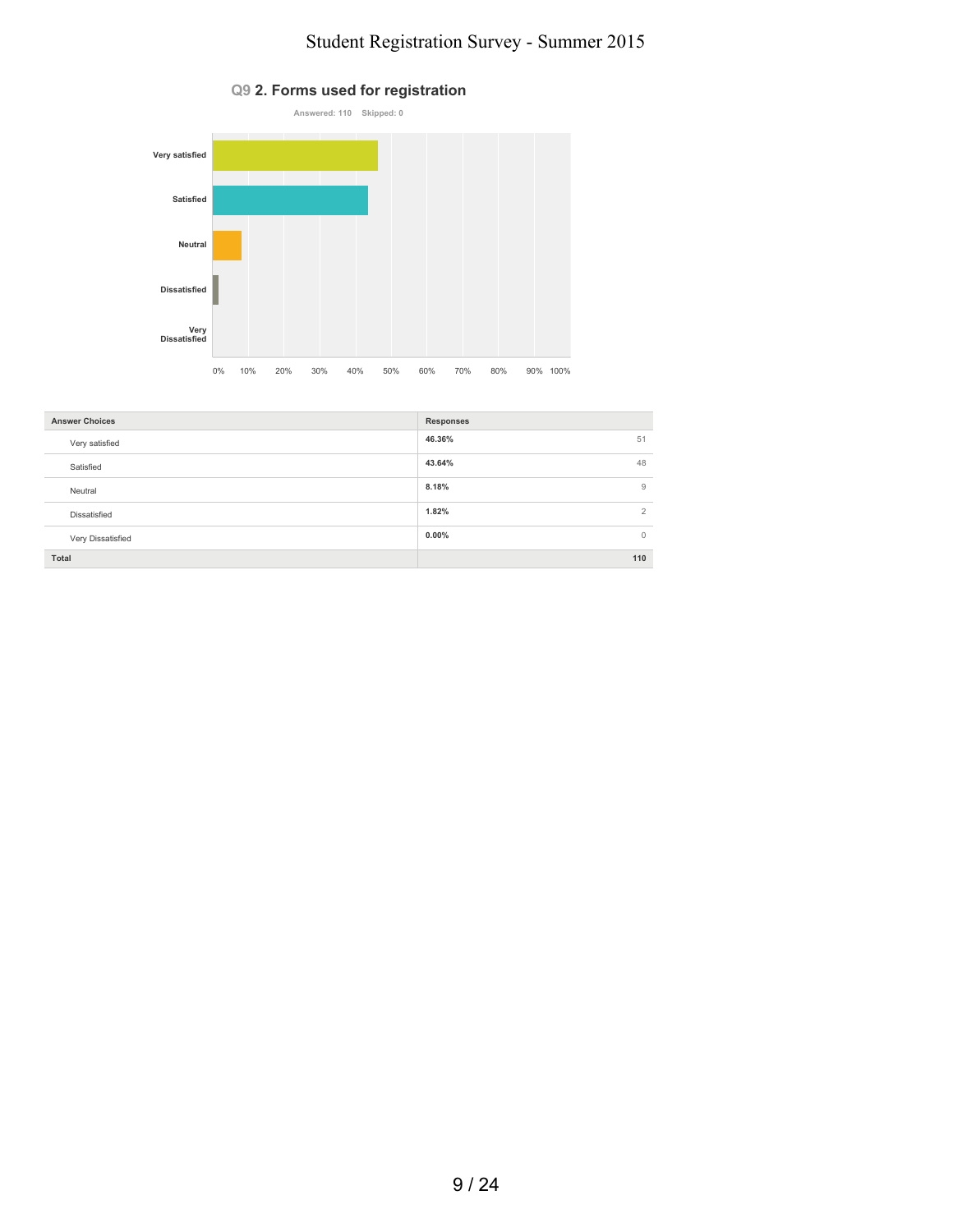

| <b>Answer Choices</b> | <b>Responses</b> |
|-----------------------|------------------|
| Very satisfied        | 46.36%<br>51     |
| Satisfied             | 43.64%<br>48     |
| Neutral               | 8.18%<br>9       |
| Dissatisfied          | 1.82%<br>◠       |
| Very Dissatisfied     | $0.00\%$<br>Ω    |
| Total                 | 110              |

### **Q9 2. Forms used for registration**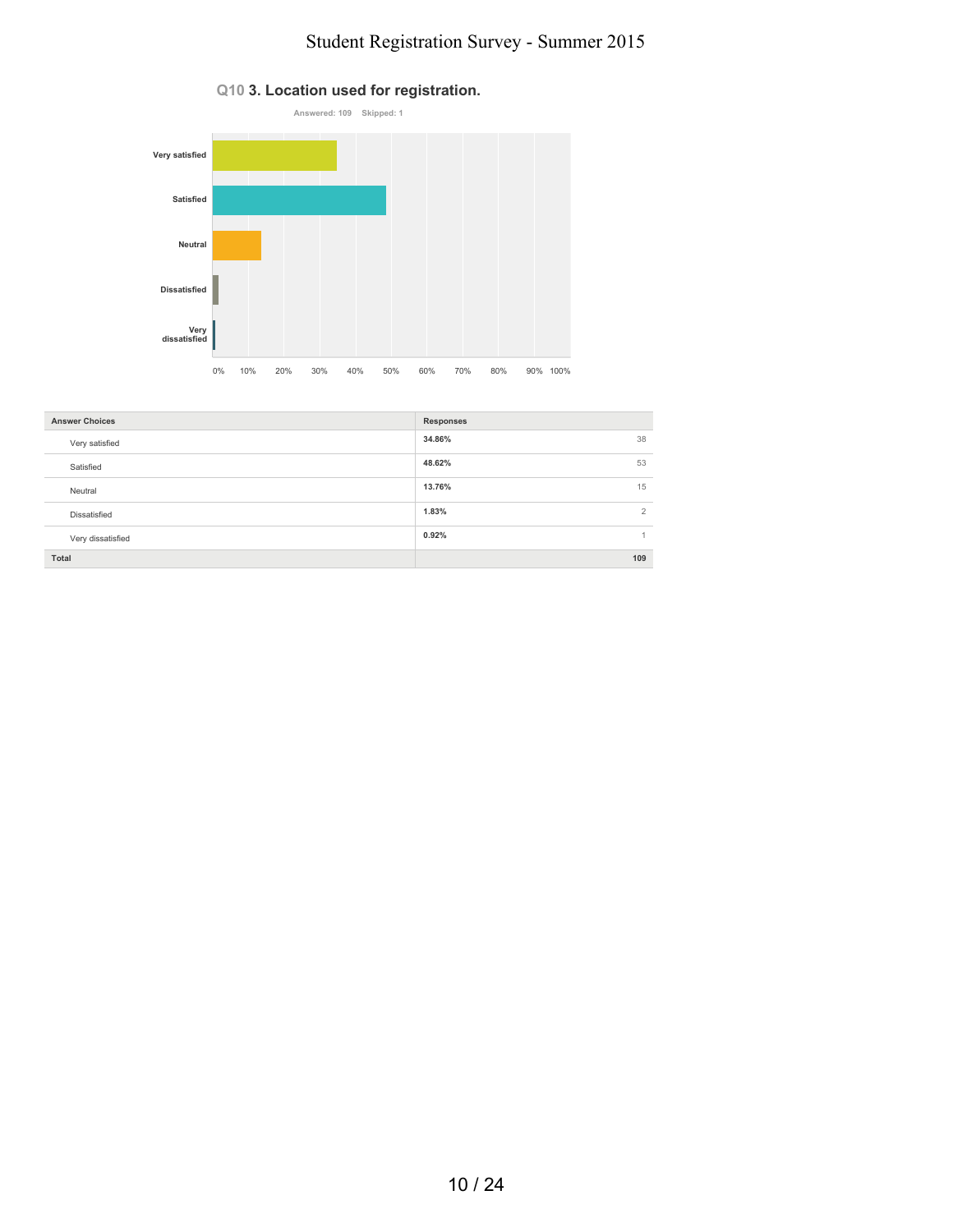

| <b>Answer Choices</b> | <b>Responses</b> |
|-----------------------|------------------|
| Very satisfied        | 38<br>34.86%     |
| Satisfied             | 48.62%<br>53     |
| Neutral               | 15<br>13.76%     |
| Dissatisfied          | 2<br>1.83%       |
| Very dissatisfied     | 0.92%<br>1       |
| Total                 | 109              |

#### **Q10 3. Location used for registration.**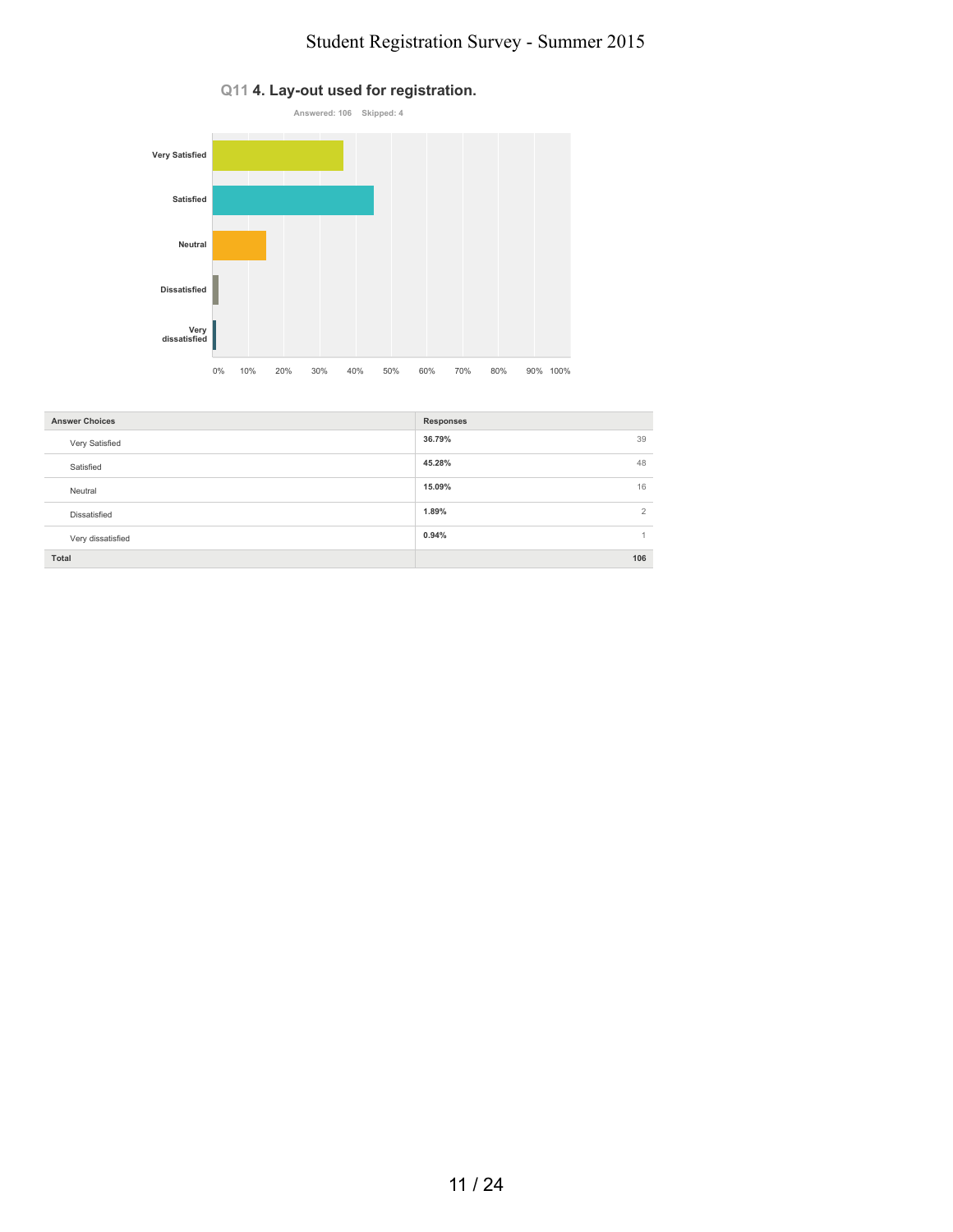

| <b>Answer Choices</b> | <b>Responses</b> |
|-----------------------|------------------|
| Very Satisfied        | 39<br>36.79%     |
| Satisfied             | 48<br>45.28%     |
| Neutral               | 16<br>15.09%     |
| <b>Dissatisfied</b>   | 2<br>1.89%       |
| Very dissatisfied     | 0.94%<br>1       |
| Total                 | 106              |

#### **Q11 4. Lay-out used for registration.**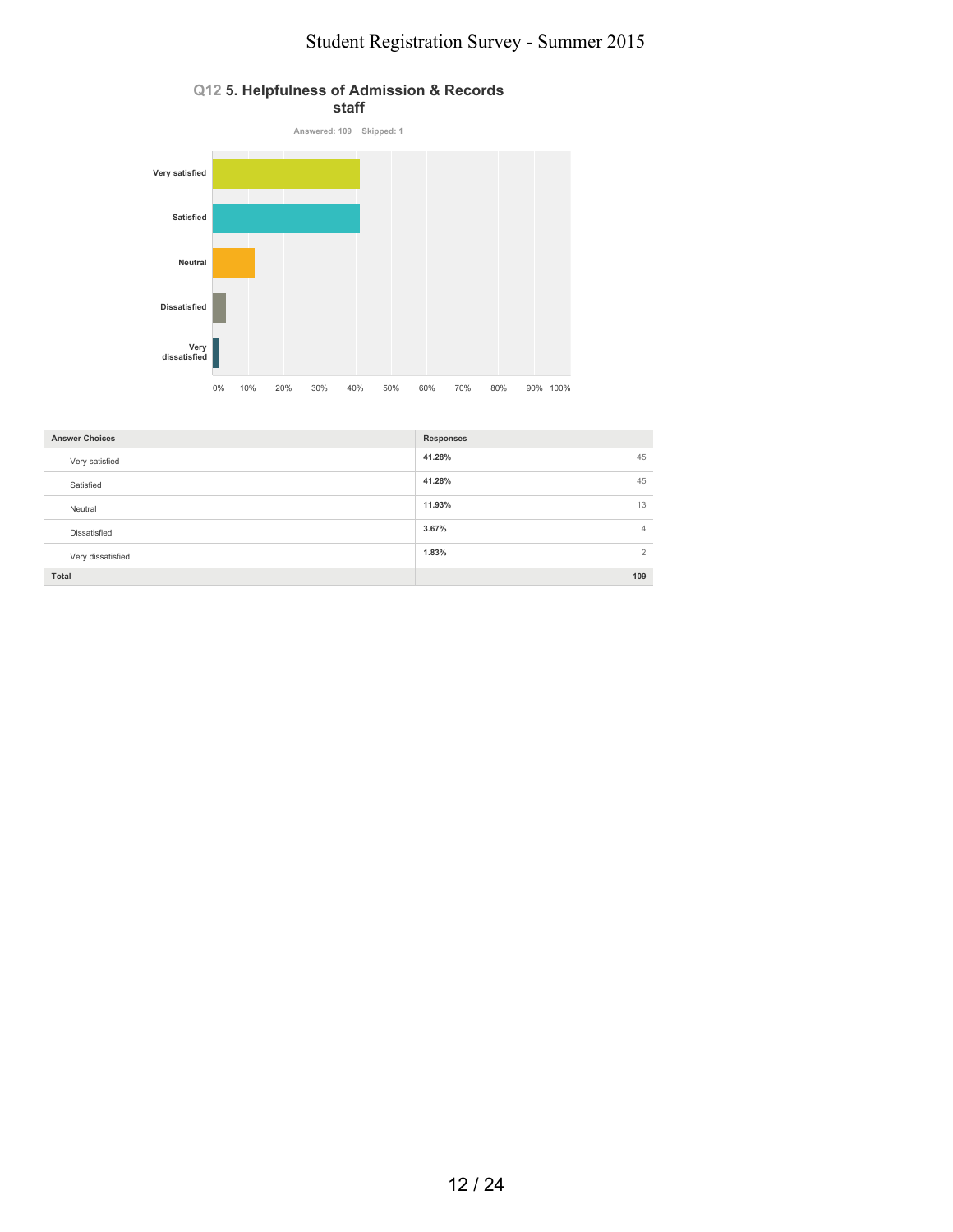

| <b>Answer Choices</b> | <b>Responses</b>        |
|-----------------------|-------------------------|
| Very satisfied        | 41.28%<br>45            |
| Satisfied             | 41.28%<br>45            |
| Neutral               | 11.93%<br>13            |
| Dissatisfied          | 3.67%<br>$\overline{4}$ |
| Very dissatisfied     | 1.83%<br>$\overline{2}$ |
| Total                 | 109                     |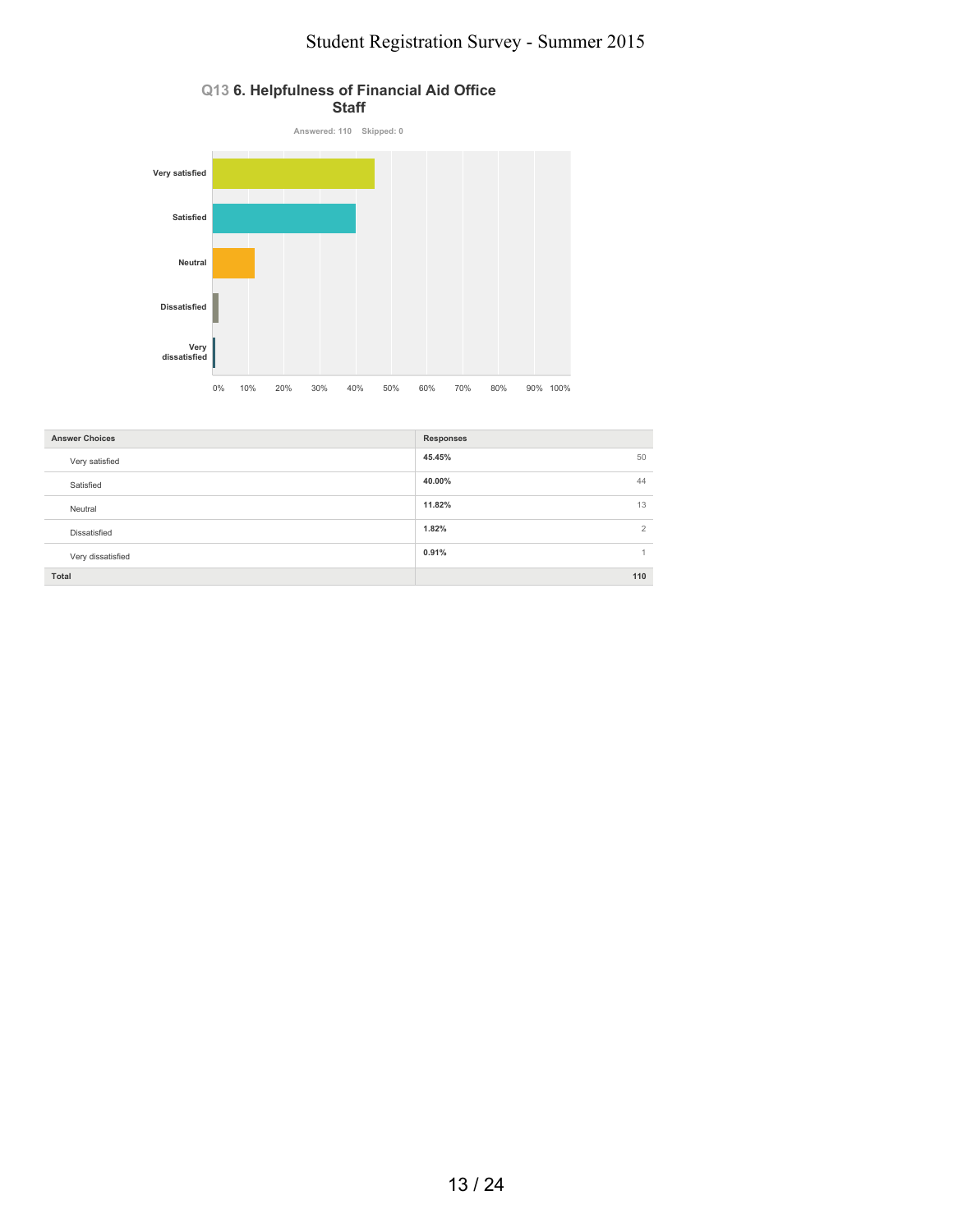

| <b>Answer Choices</b> | <b>Responses</b>        |
|-----------------------|-------------------------|
| Very satisfied        | 45.45%<br>50            |
| Satisfied             | 40.00%<br>44            |
| Neutral               | 11.82%<br>13            |
| Dissatisfied          | 1.82%<br>$\overline{2}$ |
| Very dissatisfied     | 0.91%                   |
| Total                 | 110                     |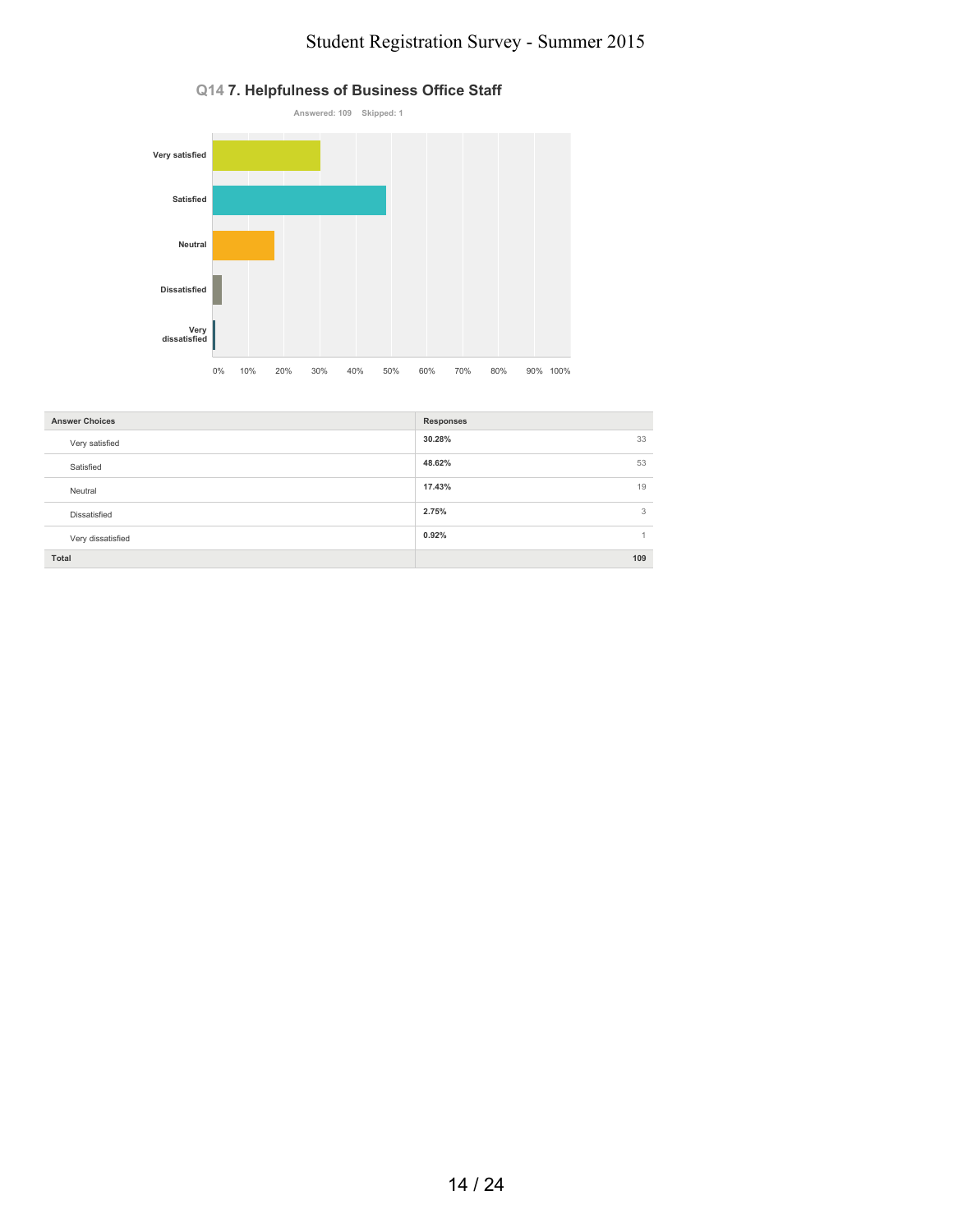

| 33<br>30.28%<br>Very satisfied |
|--------------------------------|
|                                |
| 48.62%<br>53<br>Satisfied      |
| 19<br>17.43%<br>Neutral        |
| 3<br>2.75%<br>Dissatisfied     |
| 0.92%<br>Very dissatisfied     |
| Total<br>109                   |

#### **Q14 7. Helpfulness of Business Office Staff**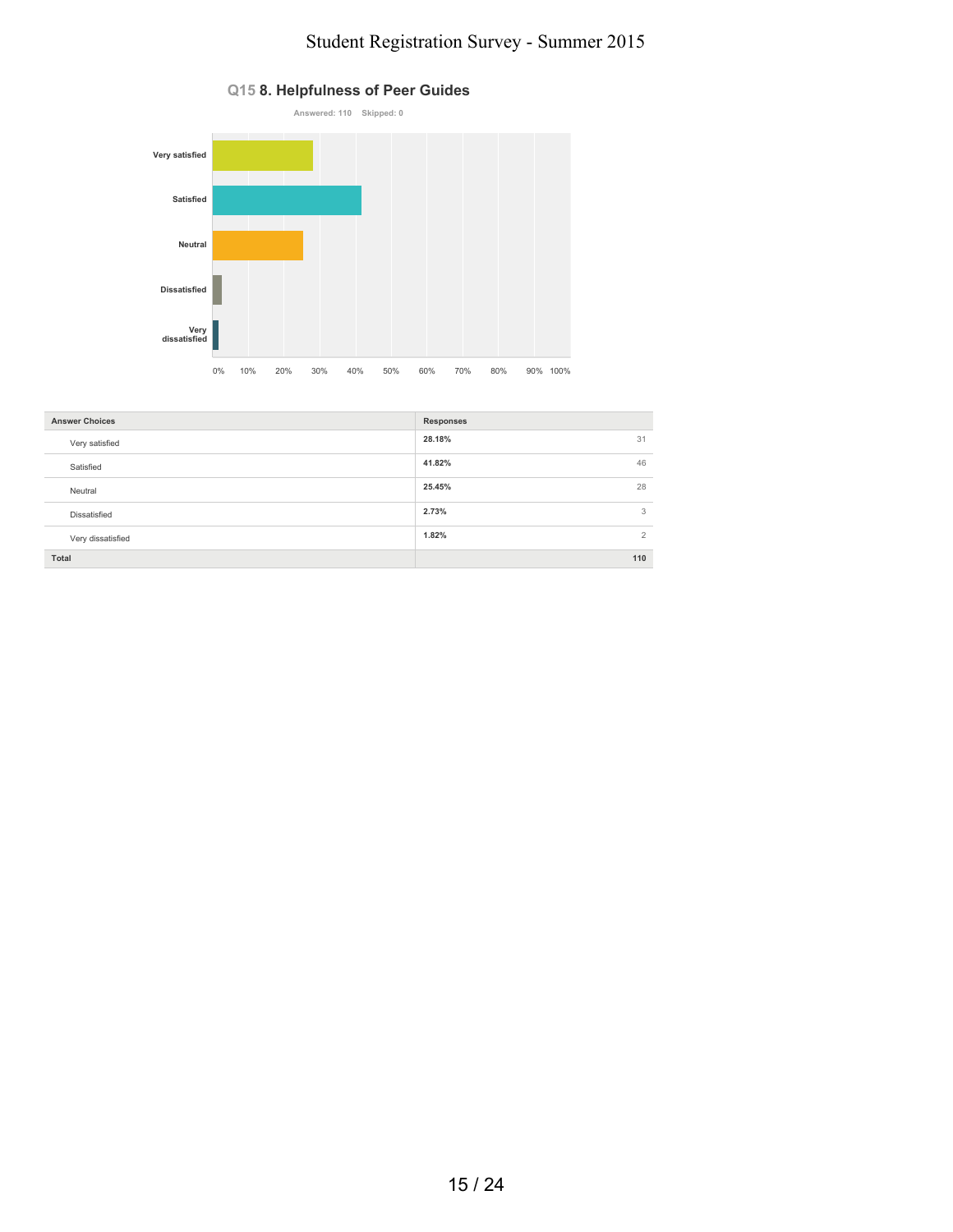

| <b>Answer Choices</b> | <b>Responses</b> |
|-----------------------|------------------|
| Very satisfied        | 28.18%<br>31     |
| Satisfied             | 41.82%<br>46     |
| Neutral               | 25.45%<br>28     |
| Dissatisfied          | 2.73%<br>3       |
| Very dissatisfied     | 2<br>1.82%       |
| Total                 | 110              |

#### **Q15 8. Helpfulness of Peer Guides**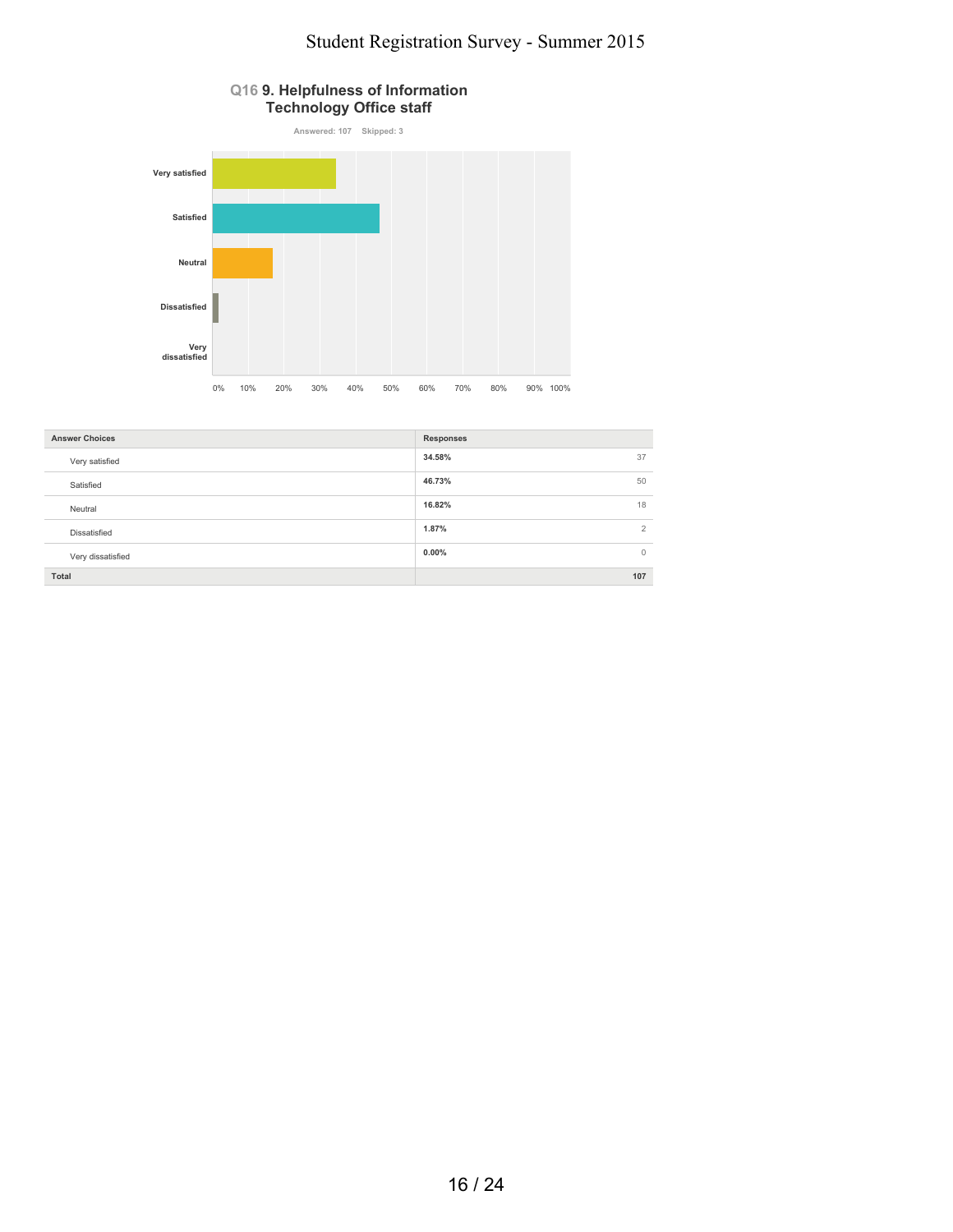

| <b>Answer Choices</b> | <b>Responses</b>    |
|-----------------------|---------------------|
| Very satisfied        | 34.58%<br>37        |
| Satisfied             | 46.73%<br>50        |
| Neutral               | 16.82%<br>18        |
| Dissatisfied          | 2<br>1.87%          |
| Very dissatisfied     | $0.00\%$<br>$\circ$ |
| Total                 | 107                 |
|                       |                     |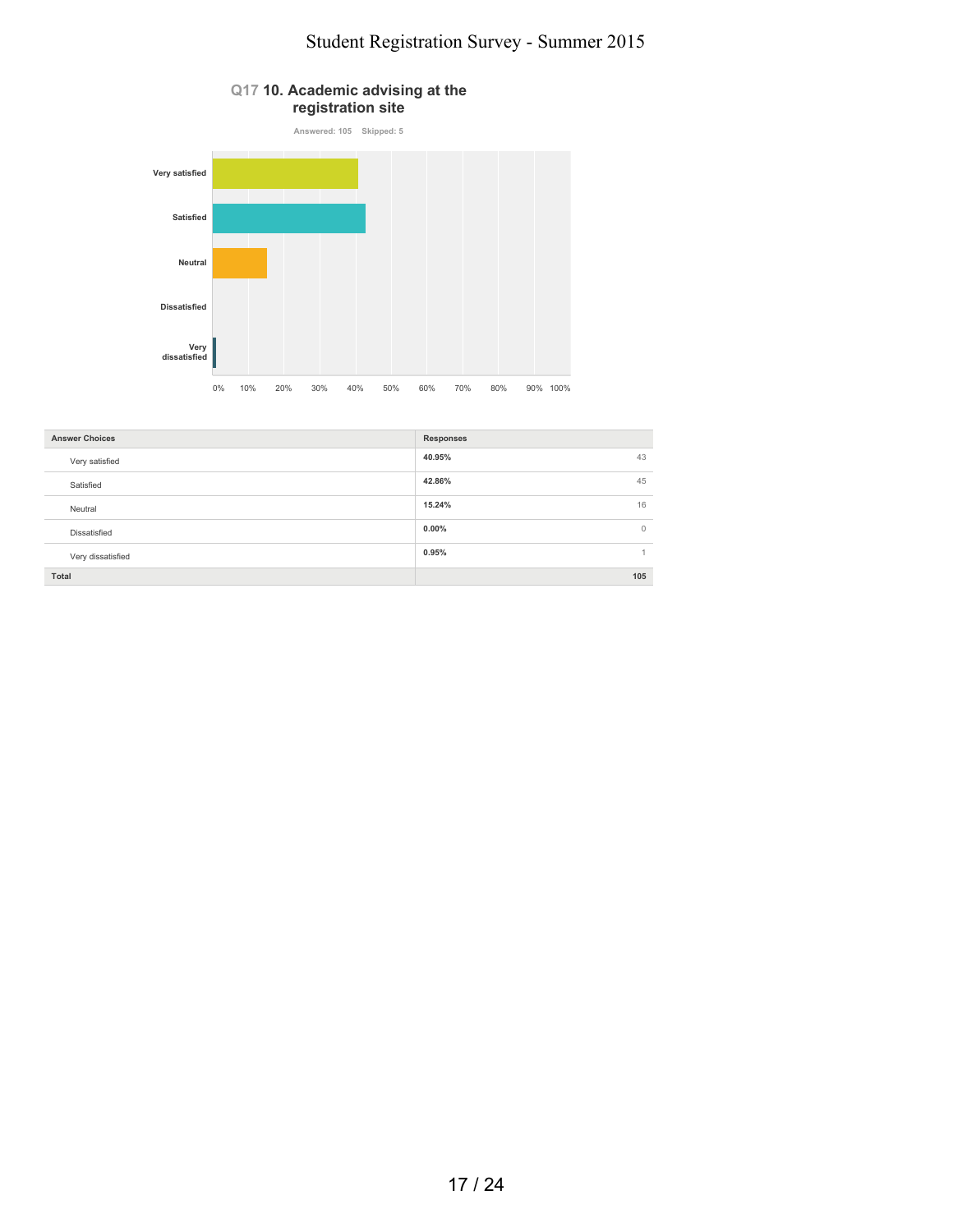

| <b>Answer Choices</b> | <b>Responses</b>     |
|-----------------------|----------------------|
| Very satisfied        | 40.95%<br>43         |
| Satisfied             | 42.86%<br>45         |
| Neutral               | 15.24%<br>16         |
| Dissatisfied          | $0.00\%$<br>$\Omega$ |
| Very dissatisfied     | 0.95%                |
| Total                 | 105                  |
|                       |                      |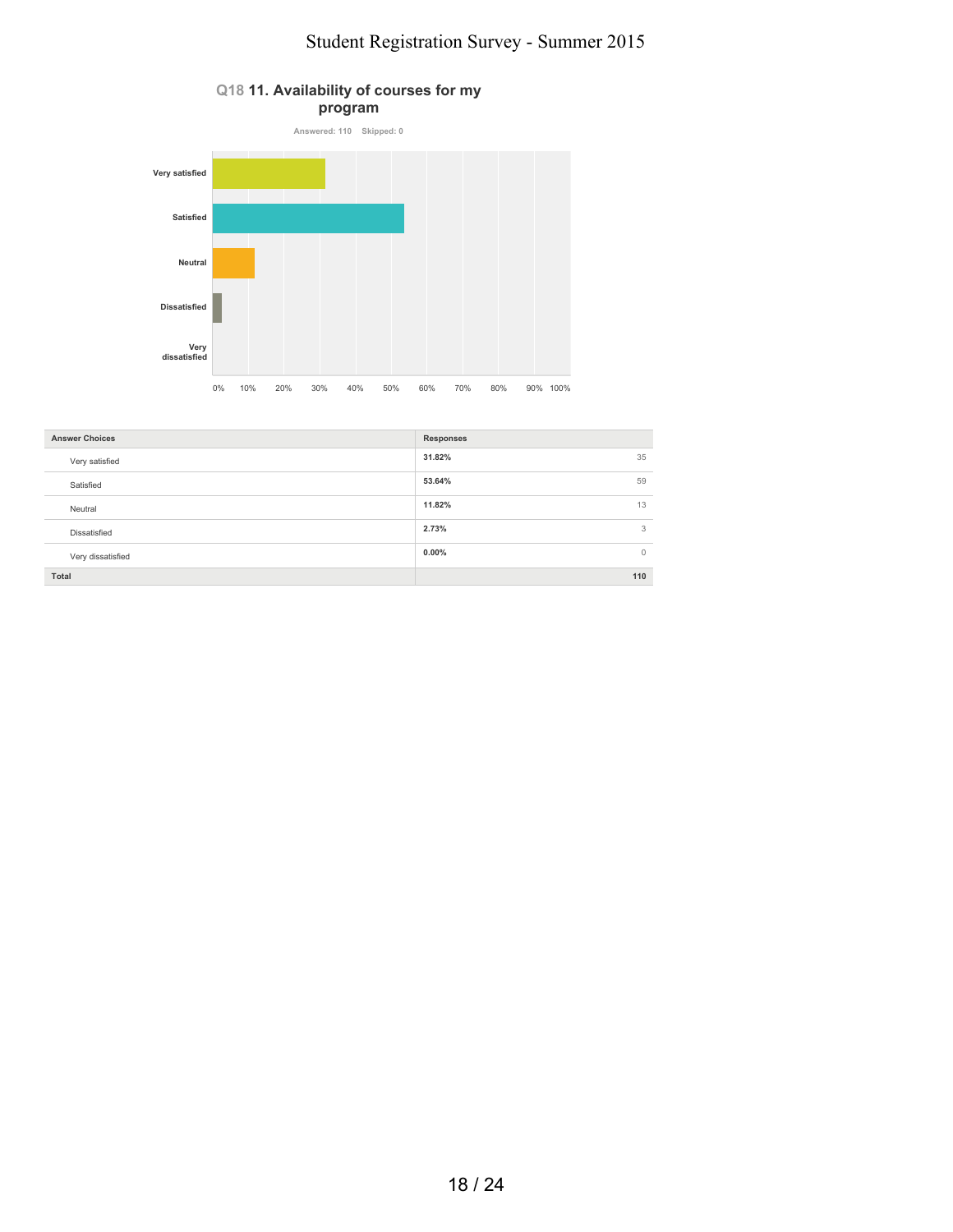

| <b>Answer Choices</b> | <b>Responses</b> |
|-----------------------|------------------|
| Very satisfied        | 31.82%<br>35     |
| Satisfied             | 53.64%<br>59     |
| Neutral               | 11.82%<br>13     |
| Dissatisfied          | 2.73%<br>3       |
| Very dissatisfied     | $0.00\%$<br>0    |
| Total                 | 110              |

#### **Q18 11. Availability of courses for my program**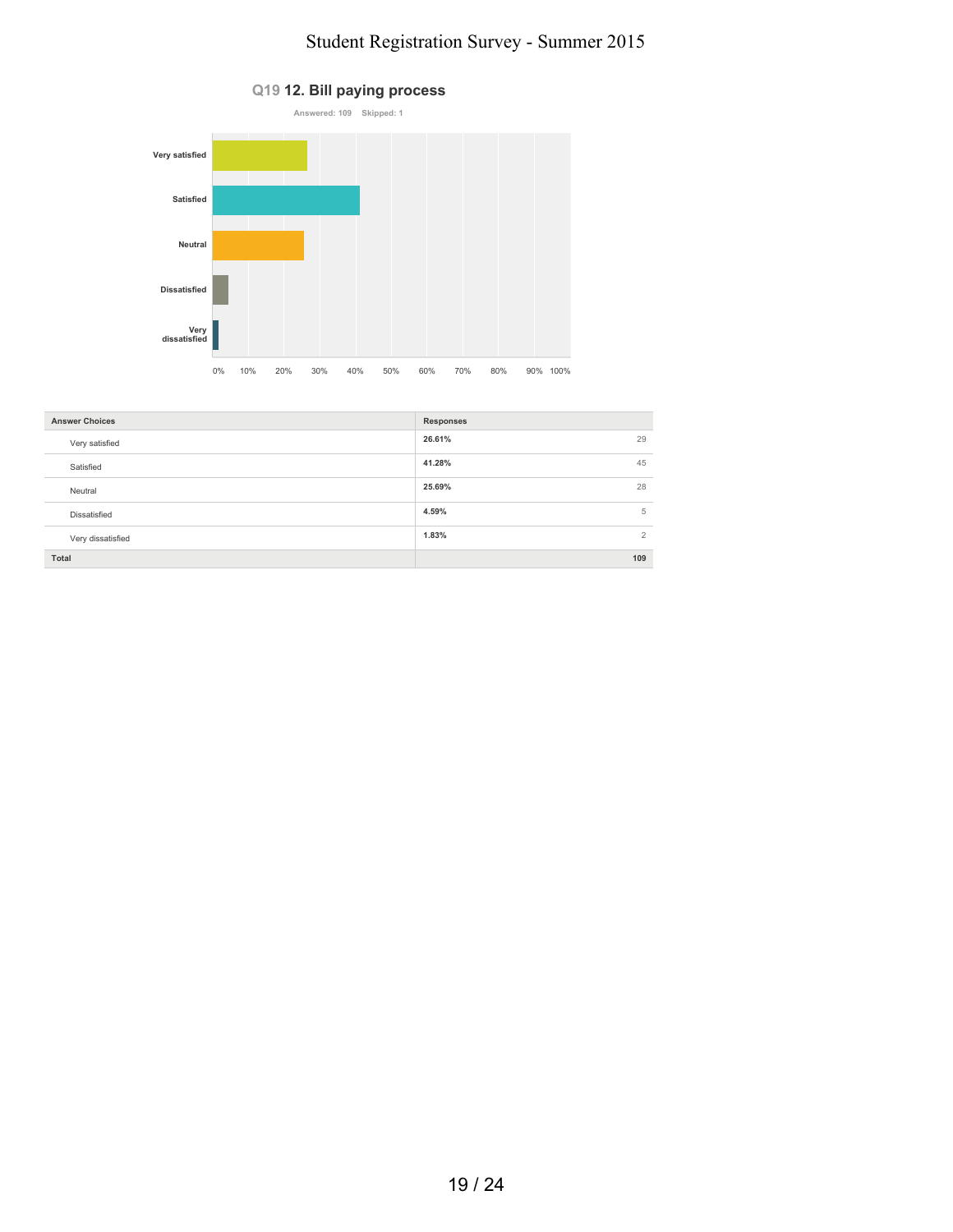

| <b>Answer Choices</b> | <b>Responses</b>        |
|-----------------------|-------------------------|
| Very satisfied        | 29<br>26.61%            |
| Satisfied             | 45<br>41.28%            |
| Neutral               | 28<br>25.69%            |
| Dissatisfied          | 5<br>4.59%              |
| Very dissatisfied     | $\overline{2}$<br>1.83% |
| Total                 | 109                     |

### **Q19 12. Bill paying process**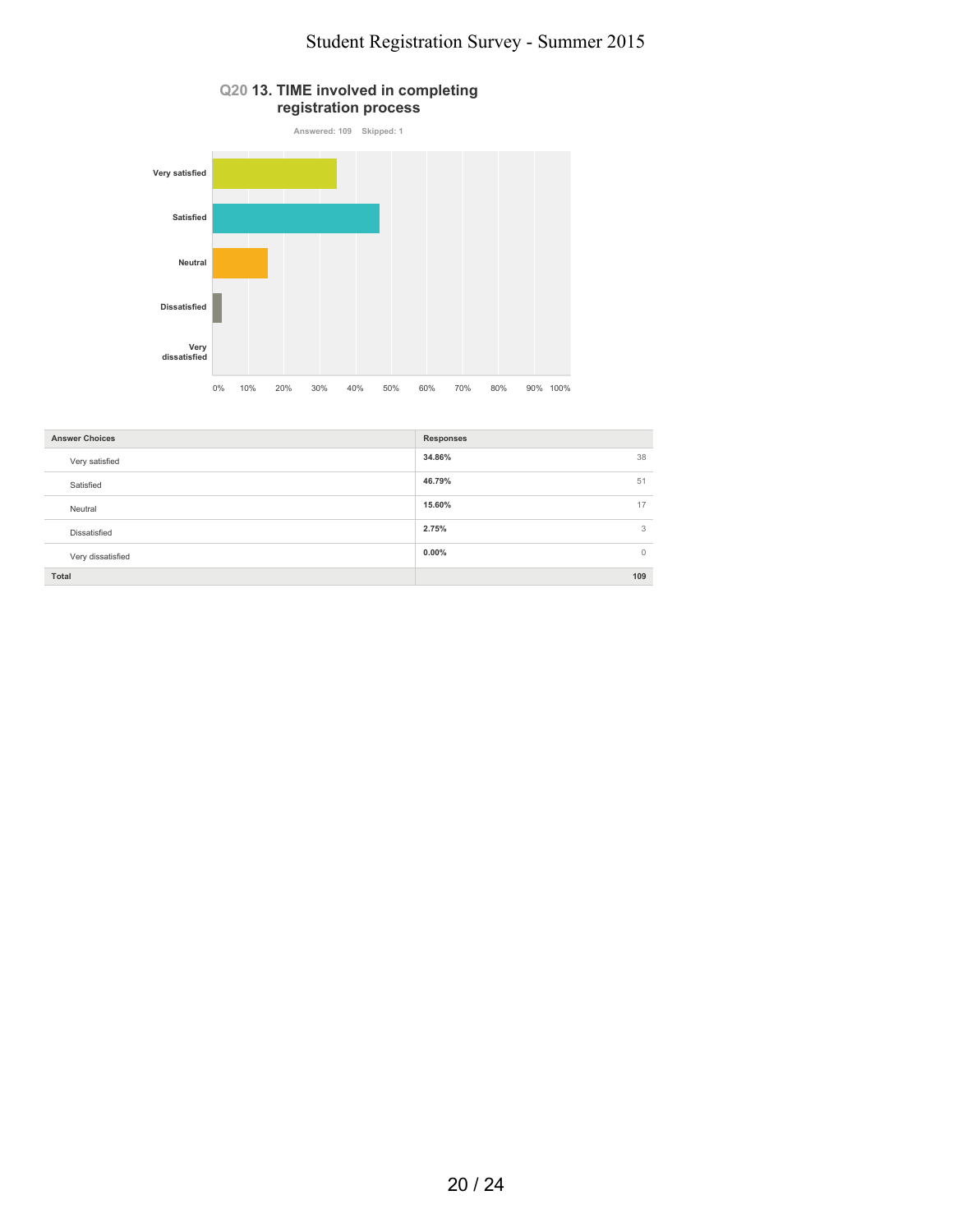# **registration process Answered: 109 Skipped: 1 Very satisfied Satisfied Neutral Dissatisfied Very dissatisfied** 0% 10% 20% 30% 40% 50% 60% 70% 80% 90% 100%

**Q20 13. TIME involved in completing**

| <b>Answer Choices</b><br><b>Responses</b> |         |
|-------------------------------------------|---------|
| 34.86%<br>Very satisfied                  | 38      |
| 46.79%<br>Satisfied                       | 51      |
| 15.60%<br>Neutral                         | 17      |
| 2.75%<br>Dissatisfied                     | 3       |
| $0.00\%$<br>Very dissatisfied             | $\circ$ |
| Total                                     | 109     |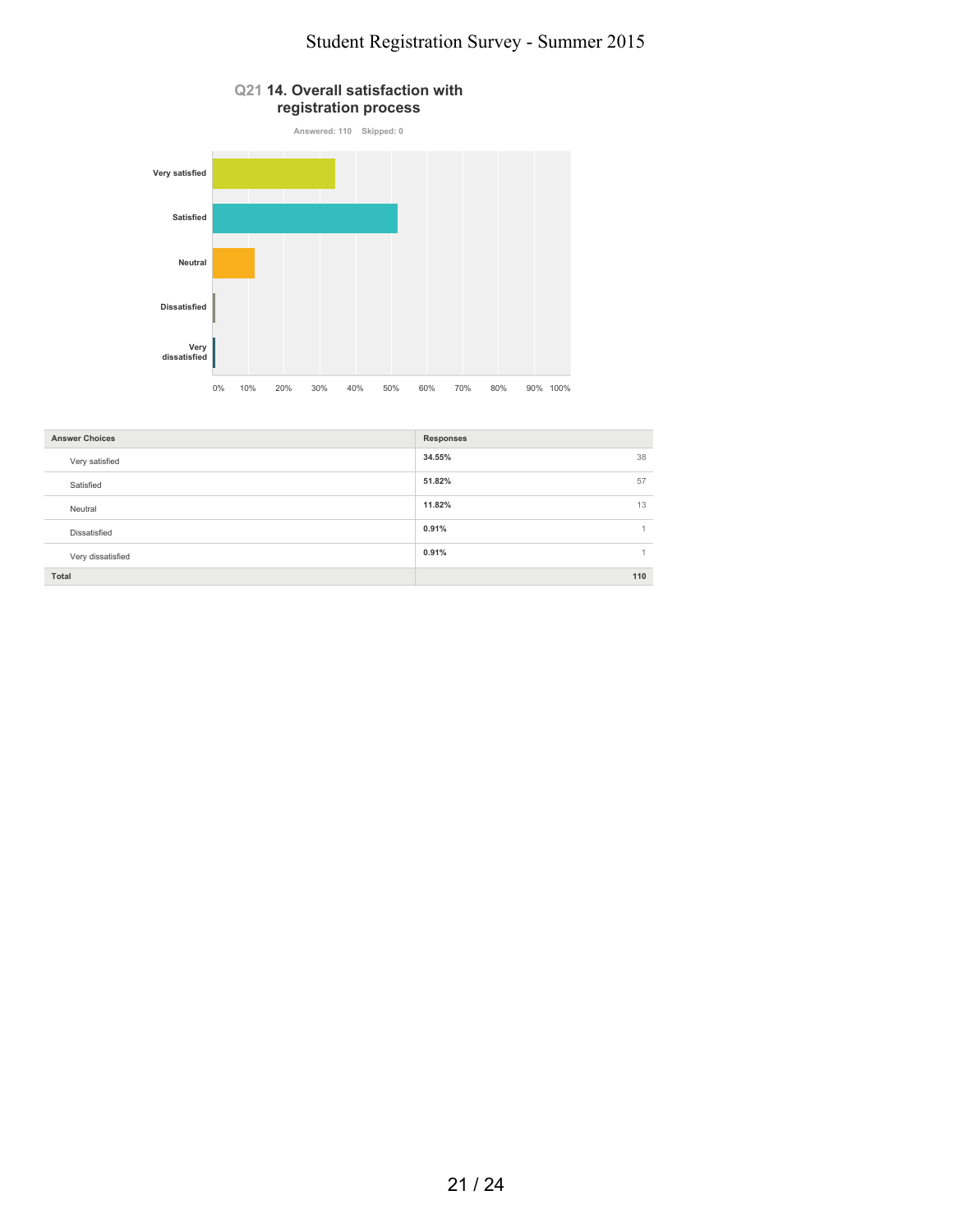

| <b>Answer Choices</b> | <b>Responses</b> |
|-----------------------|------------------|
| Very satisfied        | 38<br>34.55%     |
| Satisfied             | 51.82%<br>57     |
| Neutral               | 13<br>11.82%     |
| Dissatisfied          | 0.91%            |
| Very dissatisfied     | 0.91%            |
| Total                 | 110              |
|                       |                  |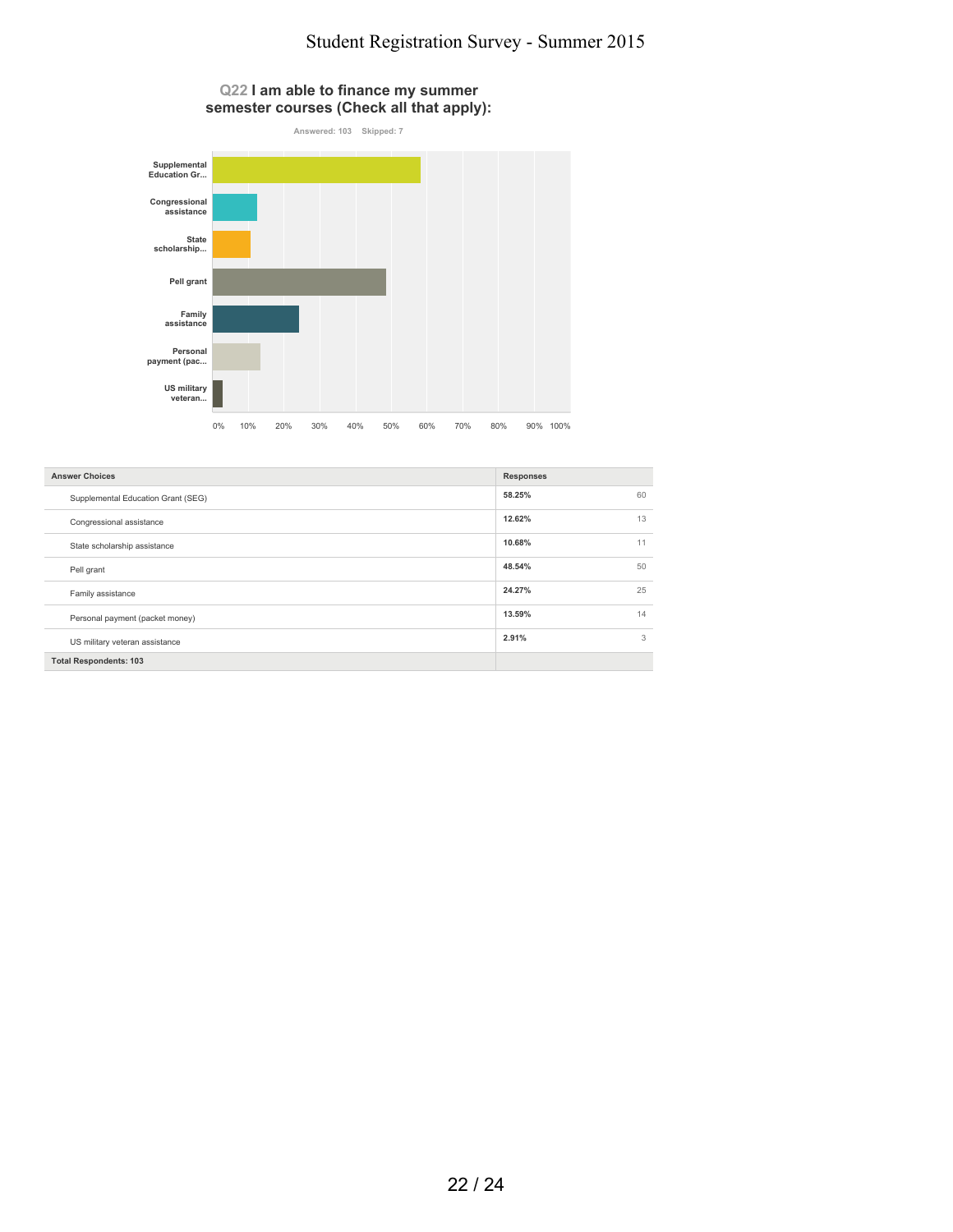#### **Q22 I am able to finance my summer semester courses (Check all that apply):**



| <b>Answer Choices</b>              | <b>Responses</b> |    |
|------------------------------------|------------------|----|
| Supplemental Education Grant (SEG) | 58.25%           | 60 |
| Congressional assistance           | 12.62%           | 13 |
| State scholarship assistance       | 10.68%           | 11 |
| Pell grant                         | 48.54%           | 50 |
| Family assistance                  | 24.27%           | 25 |
| Personal payment (packet money)    | 13.59%           | 14 |
| US military veteran assistance     | 2.91%            | 3  |
| <b>Total Respondents: 103</b>      |                  |    |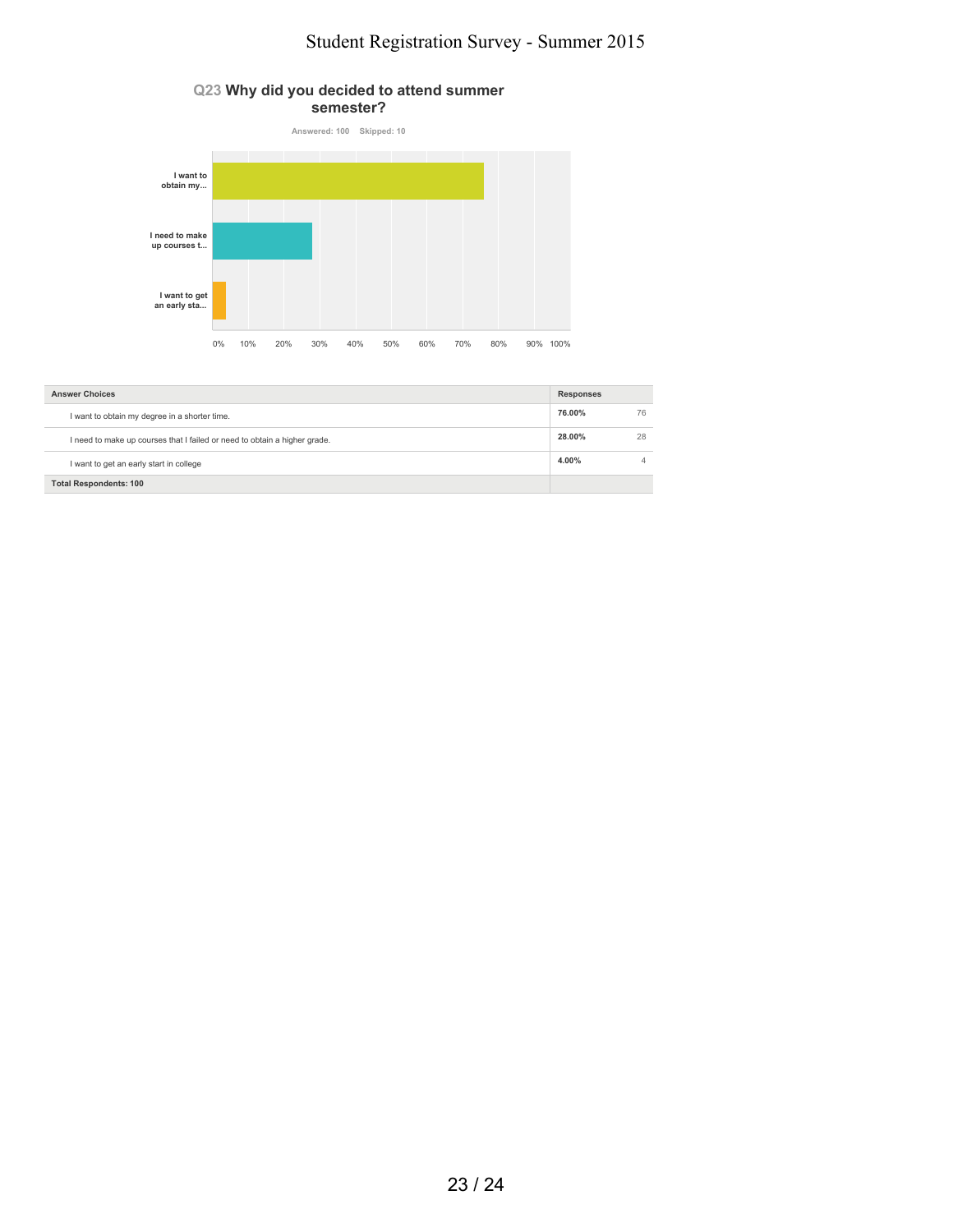



| <b>Answer Choices</b>                                                     | <b>Responses</b> |    |
|---------------------------------------------------------------------------|------------------|----|
| I want to obtain my degree in a shorter time.                             | 76.00%           | 76 |
| I need to make up courses that I failed or need to obtain a higher grade. | 28.00%           | 28 |
| I want to get an early start in college                                   | 4.00%            |    |
| <b>Total Respondents: 100</b>                                             |                  |    |